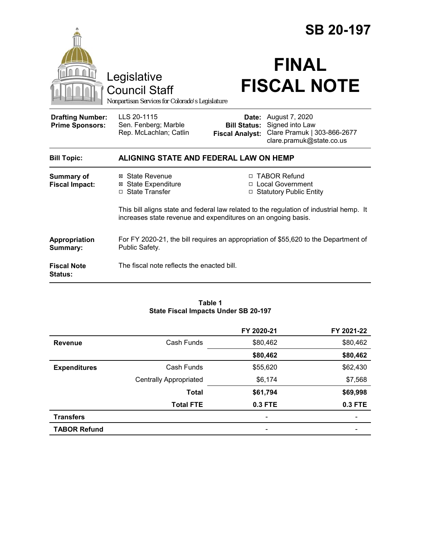|                                                   |                                                                                                                                                          | <b>SB 20-197</b>                              |                                                                                                           |  |
|---------------------------------------------------|----------------------------------------------------------------------------------------------------------------------------------------------------------|-----------------------------------------------|-----------------------------------------------------------------------------------------------------------|--|
|                                                   | Legislative<br><b>Council Staff</b><br>Nonpartisan Services for Colorado's Legislature                                                                   |                                               | <b>FINAL</b><br><b>FISCAL NOTE</b>                                                                        |  |
| <b>Drafting Number:</b><br><b>Prime Sponsors:</b> | LLS 20-1115<br>Sen. Fenberg; Marble<br>Rep. McLachlan; Catlin                                                                                            | <b>Bill Status:</b><br><b>Fiscal Analyst:</b> | <b>Date:</b> August 7, 2020<br>Signed into Law<br>Clare Pramuk   303-866-2677<br>clare.pramuk@state.co.us |  |
| <b>Bill Topic:</b>                                | ALIGNING STATE AND FEDERAL LAW ON HEMP                                                                                                                   |                                               |                                                                                                           |  |
| <b>Summary of</b><br><b>Fiscal Impact:</b>        | ⊠ State Revenue<br><b>⊠</b> State Expenditure<br>□ State Transfer                                                                                        | п                                             | <b>TABOR Refund</b><br>□ Local Government<br>□ Statutory Public Entity                                    |  |
|                                                   | This bill aligns state and federal law related to the regulation of industrial hemp. It<br>increases state revenue and expenditures on an ongoing basis. |                                               |                                                                                                           |  |
| Appropriation<br>Summary:                         | For FY 2020-21, the bill requires an appropriation of \$55,620 to the Department of<br>Public Safety.                                                    |                                               |                                                                                                           |  |
| <b>Fiscal Note</b><br>Status:                     | The fiscal note reflects the enacted bill.                                                                                                               |                                               |                                                                                                           |  |

#### **Table 1 State Fiscal Impacts Under SB 20-197**

|                     |                               | FY 2020-21 | FY 2021-22 |
|---------------------|-------------------------------|------------|------------|
| <b>Revenue</b>      | Cash Funds                    | \$80,462   | \$80,462   |
|                     |                               | \$80,462   | \$80,462   |
| <b>Expenditures</b> | Cash Funds                    | \$55,620   | \$62,430   |
|                     | <b>Centrally Appropriated</b> | \$6,174    | \$7,568    |
|                     | <b>Total</b>                  | \$61,794   | \$69,998   |
|                     | <b>Total FTE</b>              | 0.3 FTE    | 0.3 FTE    |
| <b>Transfers</b>    |                               | -          |            |
| <b>TABOR Refund</b> |                               |            |            |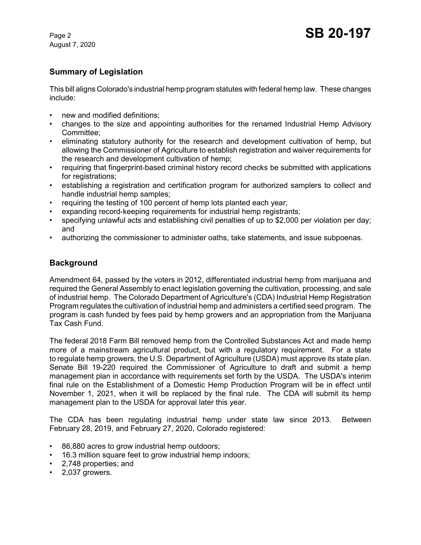August 7, 2020

# **Summary of Legislation**

This bill aligns Colorado's industrial hemp program statutes with federal hemp law. These changes include:

- new and modified definitions:
- changes to the size and appointing authorities for the renamed Industrial Hemp Advisory Committee;
- eliminating statutory authority for the research and development cultivation of hemp, but allowing the Commissioner of Agriculture to establish registration and waiver requirements for the research and development cultivation of hemp;
- requiring that fingerprint-based criminal history record checks be submitted with applications for registrations;
- establishing a registration and certification program for authorized samplers to collect and handle industrial hemp samples;
- requiring the testing of 100 percent of hemp lots planted each year;
- expanding record-keeping requirements for industrial hemp registrants;
- specifying unlawful acts and establishing civil penalties of up to \$2,000 per violation per day; and
- authorizing the commissioner to administer oaths, take statements, and issue subpoenas.

# **Background**

Amendment 64, passed by the voters in 2012, differentiated industrial hemp from marijuana and required the General Assembly to enact legislation governing the cultivation, processing, and sale of industrial hemp. The Colorado Department of Agriculture's (CDA) Industrial Hemp Registration Program regulates the cultivation of industrial hemp and administers a certified seed program. The program is cash funded by fees paid by hemp growers and an appropriation from the Marijuana Tax Cash Fund.

The federal 2018 Farm Bill removed hemp from the Controlled Substances Act and made hemp more of a mainstream agricultural product, but with a regulatory requirement. For a state to regulate hemp growers, the U.S. Department of Agriculture (USDA) must approve its state plan. Senate Bill 19-220 required the Commissioner of Agriculture to draft and submit a hemp management plan in accordance with requirements set forth by the USDA. The USDA's interim final rule on the Establishment of a Domestic Hemp Production Program will be in effect until November 1, 2021, when it will be replaced by the final rule. The CDA will submit its hemp management plan to the USDA for approval later this year.

The CDA has been regulating industrial hemp under state law since 2013. Between February 28, 2019, and February 27, 2020, Colorado registered:

- 86,880 acres to grow industrial hemp outdoors;
- 16.3 million square feet to grow industrial hemp indoors;
- 2,748 properties; and
- 2,037 growers.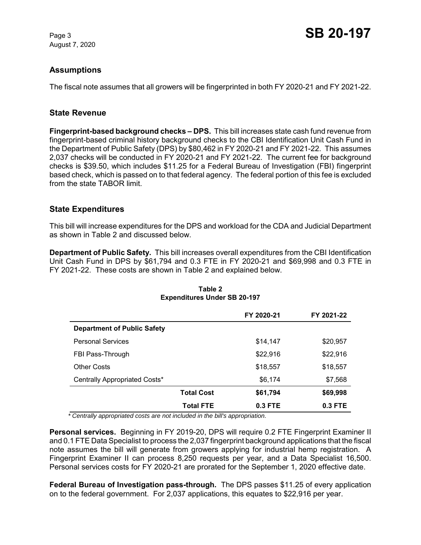August 7, 2020

# **Assumptions**

The fiscal note assumes that all growers will be fingerprinted in both FY 2020-21 and FY 2021-22.

## **State Revenue**

**Fingerprint-based background checks – DPS.** This bill increases state cash fund revenue from fingerprint-based criminal history background checks to the CBI Identification Unit Cash Fund in the Department of Public Safety (DPS) by \$80,462 in FY 2020-21 and FY 2021-22. This assumes 2,037 checks will be conducted in FY 2020-21 and FY 2021-22. The current fee for background checks is \$39.50, which includes \$11.25 for a Federal Bureau of Investigation (FBI) fingerprint based check, which is passed on to that federal agency. The federal portion of this fee is excluded from the state TABOR limit.

## **State Expenditures**

This bill will increase expenditures for the DPS and workload for the CDA and Judicial Department as shown in Table 2 and discussed below.

**Department of Public Safety.** This bill increases overall expenditures from the CBI Identification Unit Cash Fund in DPS by \$61,794 and 0.3 FTE in FY 2020-21 and \$69,998 and 0.3 FTE in FY 2021-22. These costs are shown in Table 2 and explained below.

|                                    |                   | FY 2020-21 | FY 2021-22 |
|------------------------------------|-------------------|------------|------------|
| <b>Department of Public Safety</b> |                   |            |            |
| <b>Personal Services</b>           |                   | \$14,147   | \$20,957   |
| FBI Pass-Through                   |                   | \$22,916   | \$22,916   |
| <b>Other Costs</b>                 |                   | \$18,557   | \$18,557   |
| Centrally Appropriated Costs*      |                   | \$6,174    | \$7,568    |
|                                    | <b>Total Cost</b> | \$61,794   | \$69,998   |
|                                    | <b>Total FTE</b>  | $0.3$ FTE  | $0.3$ FTE  |

#### **Table 2 Expenditures Under SB 20-197**

 *\* Centrally appropriated costs are not included in the bill's appropriation.*

**Personal services.** Beginning in FY 2019-20, DPS will require 0.2 FTE Fingerprint Examiner II and 0.1 FTE Data Specialist to process the 2,037 fingerprint background applications that the fiscal note assumes the bill will generate from growers applying for industrial hemp registration. A Fingerprint Examiner II can process 8,250 requests per year, and a Data Specialist 16,500. Personal services costs for FY 2020-21 are prorated for the September 1, 2020 effective date.

**Federal Bureau of Investigation pass-through.** The DPS passes \$11.25 of every application on to the federal government. For 2,037 applications, this equates to \$22,916 per year.